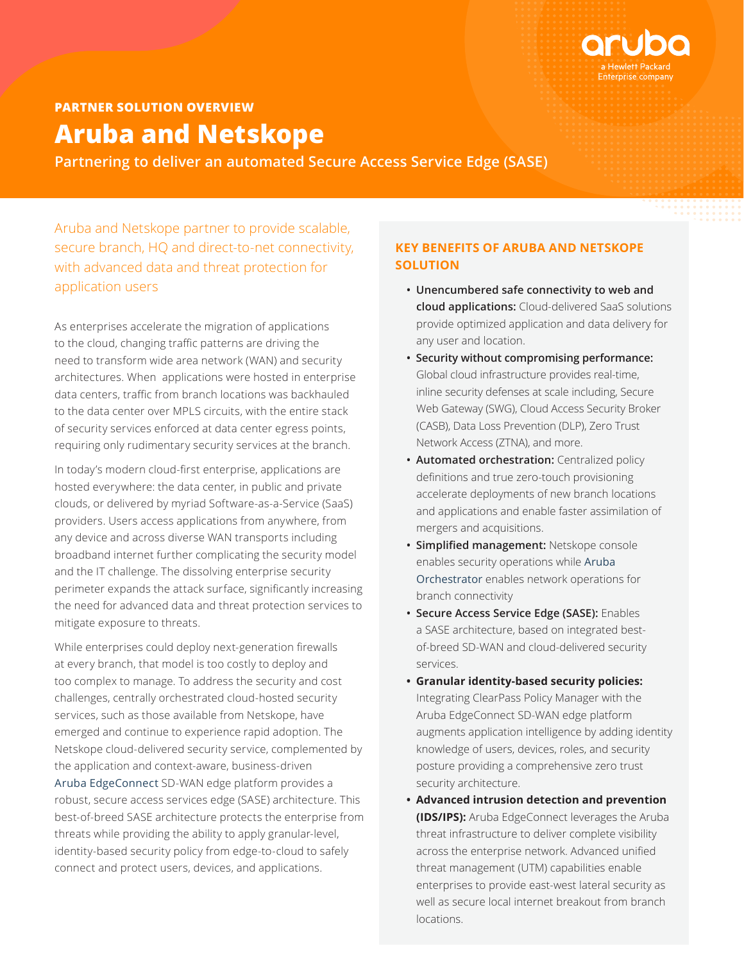

**Partnering to deliver an automated Secure Access Service Edge (SASE)**

Aruba and Netskope partner to provide scalable, secure branch, HQ and direct-to-net connectivity, with advanced data and threat protection for application users

As enterprises accelerate the migration of applications to the cloud, changing traffic patterns are driving the need to transform wide area network (WAN) and security architectures. When applications were hosted in enterprise data centers, traffic from branch locations was backhauled to the data center over MPLS circuits, with the entire stack of security services enforced at data center egress points, requiring only rudimentary security services at the branch.

In today's modern cloud-first enterprise, applications are hosted everywhere: the data center, in public and private clouds, or delivered by myriad Software-as-a-Service (SaaS) providers. Users access applications from anywhere, from any device and across diverse WAN transports including broadband internet further complicating the security model and the IT challenge. The dissolving enterprise security perimeter expands the attack surface, significantly increasing the need for advanced data and threat protection services to mitigate exposure to threats.

While enterprises could deploy next-generation firewalls at every branch, that model is too costly to deploy and too complex to manage. To address the security and cost challenges, centrally orchestrated cloud-hosted security services, such as those available from Netskope, have emerged and continue to experience rapid adoption. The Netskope cloud-delivered security service, complemented by the application and context-aware, business-driven [Aruba EdgeConnect](https://www.arubanetworks.com/products/sd-wan/edgeconnect/) SD-WAN edge platform provides a robust, secure access services edge (SASE) architecture. This best-of-breed SASE architecture protects the enterprise from threats while providing the ability to apply granular-level, identity-based security policy from edge-to-cloud to safely connect and protect users, devices, and applications.

## **KEY BENEFITS OF ARUBA AND NETSKOPE SOLUTION**

- **Unencumbered safe connectivity to web and cloud applications:** Cloud-delivered SaaS solutions provide optimized application and data delivery for any user and location.
- **Security without compromising performance:**  Global cloud infrastructure provides real-time, inline security defenses at scale including, Secure Web Gateway (SWG), Cloud Access Security Broker (CASB), Data Loss Prevention (DLP), Zero Trust Network Access (ZTNA), and more.
- **Automated orchestration:** Centralized policy definitions and true zero-touch provisioning accelerate deployments of new branch locations and applications and enable faster assimilation of mergers and acquisitions.
- **Simplified management:** Netskope console enables security operations while [Aruba](https://www.arubanetworks.com/products/sd-wan/edgeconnect/orchestrator/)  [Orchestrator](https://www.arubanetworks.com/products/sd-wan/edgeconnect/orchestrator/) enables network operations for branch connectivity
- **Secure Access Service Edge (SASE):** Enables a SASE architecture, based on integrated bestof-breed SD-WAN and cloud-delivered security services.
- **Granular identity-based security policies:** Integrating ClearPass Policy Manager with the Aruba EdgeConnect SD-WAN edge platform augments application intelligence by adding identity knowledge of users, devices, roles, and security posture providing a comprehensive zero trust security architecture.
- **Advanced intrusion detection and prevention (IDS/IPS):** Aruba EdgeConnect leverages the Aruba threat infrastructure to deliver complete visibility across the enterprise network. Advanced unified threat management (UTM) capabilities enable enterprises to provide east-west lateral security as well as secure local internet breakout from branch locations.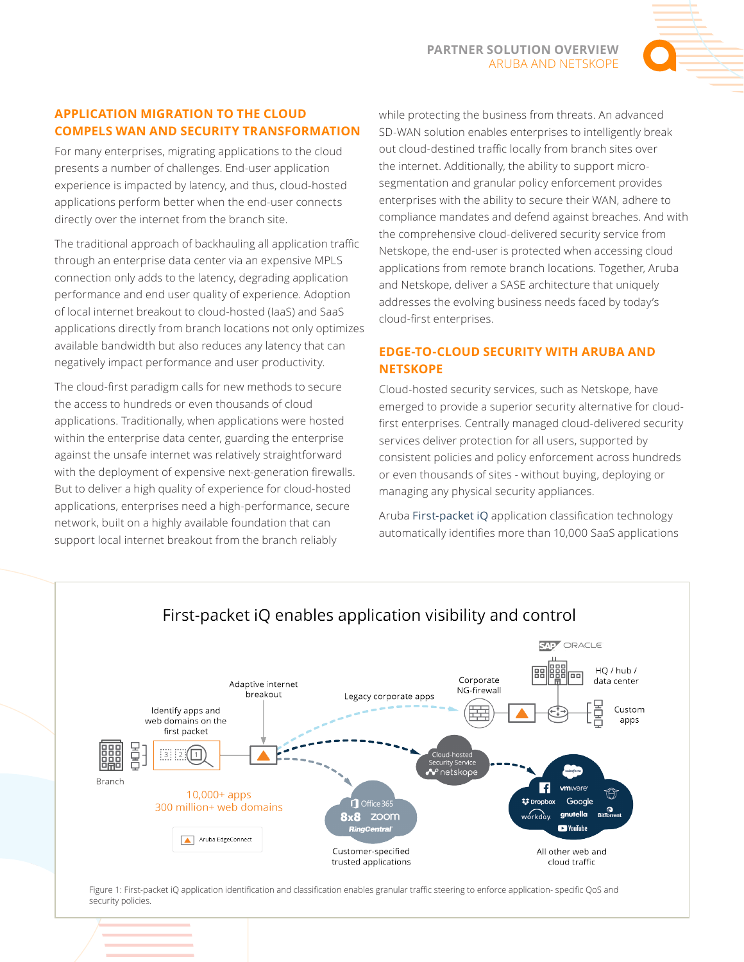# **APPLICATION MIGRATION TO THE CLOUD COMPELS WAN AND SECURITY TRANSFORMATION**

For many enterprises, migrating applications to the cloud presents a number of challenges. End-user application experience is impacted by latency, and thus, cloud-hosted applications perform better when the end-user connects directly over the internet from the branch site.

The traditional approach of backhauling all application traffic through an enterprise data center via an expensive MPLS connection only adds to the latency, degrading application performance and end user quality of experience. Adoption of local internet breakout to cloud-hosted (IaaS) and SaaS applications directly from branch locations not only optimizes available bandwidth but also reduces any latency that can negatively impact performance and user productivity.

The cloud-first paradigm calls for new methods to secure the access to hundreds or even thousands of cloud applications. Traditionally, when applications were hosted within the enterprise data center, guarding the enterprise against the unsafe internet was relatively straightforward with the deployment of expensive next-generation firewalls. But to deliver a high quality of experience for cloud-hosted applications, enterprises need a high-performance, secure network, built on a highly available foundation that can support local internet breakout from the branch reliably

while protecting the business from threats. An advanced SD-WAN solution enables enterprises to intelligently break out cloud-destined traffic locally from branch sites over the internet. Additionally, the ability to support microsegmentation and granular policy enforcement provides enterprises with the ability to secure their WAN, adhere to compliance mandates and defend against breaches. And with the comprehensive cloud-delivered security service from Netskope, the end-user is protected when accessing cloud applications from remote branch locations. Together, Aruba and Netskope, deliver a SASE architecture that uniquely addresses the evolving business needs faced by today's cloud-first enterprises.

# **EDGE-TO-CLOUD SECURITY WITH ARUBA AND NETSKOPE**

Cloud-hosted security services, such as Netskope, have emerged to provide a superior security alternative for cloudfirst enterprises. Centrally managed cloud-delivered security services deliver protection for all users, supported by consistent policies and policy enforcement across hundreds or even thousands of sites - without buying, deploying or managing any physical security appliances.

Aruba First-packet iQ application classification technology automatically identifies more than 10,000 SaaS applications



# First-packet iQ enables application visibility and control

Figure 1: First-packet iQ application identification and classification enables granular traffic steering to enforce application- specific QoS and security policies.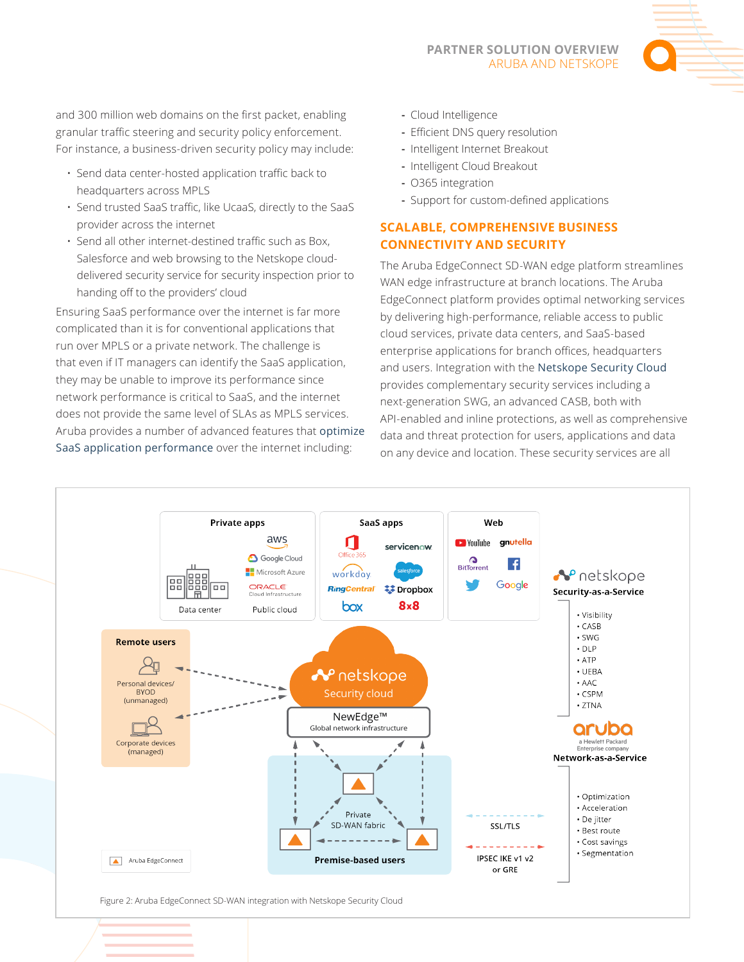#### **PARTNER SOLUTION OVERVIEW**  ARUBA AND NETSKOPE



and 300 million web domains on the first packet, enabling granular traffic steering and security policy enforcement. For instance, a business-driven security policy may include:

- Send data center-hosted application traffic back to headquarters across MPLS
- Send trusted SaaS traffic, like UcaaS, directly to the SaaS provider across the internet
- Send all other internet-destined traffic such as Box, Salesforce and web browsing to the Netskope clouddelivered security service for security inspection prior to handing off to the providers' cloud

Ensuring SaaS performance over the internet is far more complicated than it is for conventional applications that run over MPLS or a private network. The challenge is that even if IT managers can identify the SaaS application, they may be unable to improve its performance since network performance is critical to SaaS, and the internet does not provide the same level of SLAs as MPLS services. Aruba provides a number of advanced features that optimize SaaS application performance over the internet including:

- **-** Cloud Intelligence
- **-** Efficient DNS query resolution
- **-** Intelligent Internet Breakout
- **-** Intelligent Cloud Breakout
- **-** O365 integration
- **-** Support for custom-defined applications

## **SCALABLE, COMPREHENSIVE BUSINESS CONNECTIVITY AND SECURITY**

The Aruba EdgeConnect SD-WAN edge platform streamlines WAN edge infrastructure at branch locations. The Aruba EdgeConnect platform provides optimal networking services by delivering high-performance, reliable access to public cloud services, private data centers, and SaaS-based enterprise applications for branch offices, headquarters and users. Integration with the Netskope Security Cloud provides complementary security services including a next-generation SWG, an advanced CASB, both with API-enabled and inline protections, as well as comprehensive data and threat protection for users, applications and data on any device and location. These security services are all



Figure 2: Aruba EdgeConnect SD-WAN integration with Netskope Security Cloud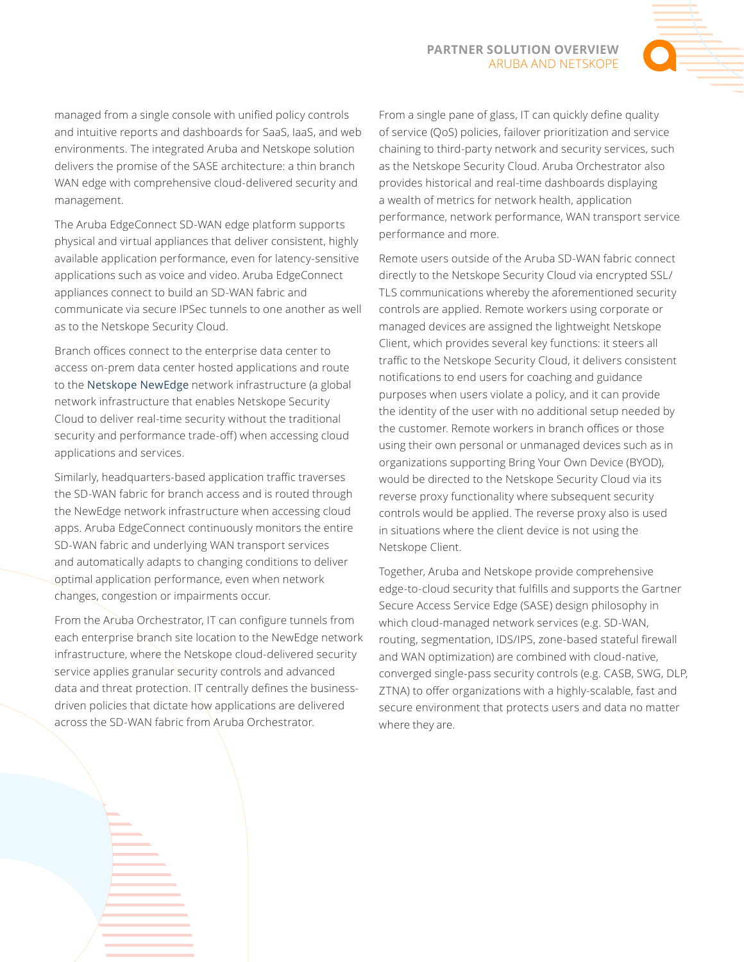#### **PARTNER SOLUTION OVERVIEW**  ARUBA AND NETSKOPE



managed from a single console with unified policy controls and intuitive reports and dashboards for SaaS, IaaS, and web environments. The integrated Aruba and Netskope solution delivers the promise of the SASE architecture: a thin branch WAN edge with comprehensive cloud-delivered security and management.

The Aruba EdgeConnect SD-WAN edge platform supports physical and virtual appliances that deliver consistent, highly available application performance, even for latency-sensitive applications such as voice and video. Aruba EdgeConnect appliances connect to build an SD-WAN fabric and communicate via secure IPSec tunnels to one another as well as to the Netskope Security Cloud.

Branch offices connect to the enterprise data center to access on-prem data center hosted applications and route to the [Netskope NewEdge](https://www.netskope.com/platform/newedge) network infrastructure (a global network infrastructure that enables Netskope Security Cloud to deliver real-time security without the traditional security and performance trade-off) when accessing cloud applications and services.

Similarly, headquarters-based application traffic traverses the SD-WAN fabric for branch access and is routed through the NewEdge network infrastructure when accessing cloud apps. Aruba EdgeConnect continuously monitors the entire SD-WAN fabric and underlying WAN transport services and automatically adapts to changing conditions to deliver optimal application performance, even when network changes, congestion or impairments occur.

From the Aruba Orchestrator, IT can configure tunnels from each enterprise branch site location to the NewEdge network infrastructure, where the Netskope cloud-delivered security service applies granular security controls and advanced data and threat protection. IT centrally defines the businessdriven policies that dictate how applications are delivered across the SD-WAN fabric from Aruba Orchestrator.

From a single pane of glass, IT can quickly define quality of service (QoS) policies, failover prioritization and service chaining to third-party network and security services, such as the Netskope Security Cloud. Aruba Orchestrator also provides historical and real-time dashboards displaying a wealth of metrics for network health, application performance, network performance, WAN transport service performance and more.

Remote users outside of the Aruba SD-WAN fabric connect directly to the Netskope Security Cloud via encrypted SSL/ TLS communications whereby the aforementioned security controls are applied. Remote workers using corporate or managed devices are assigned the lightweight Netskope Client, which provides several key functions: it steers all traffic to the Netskope Security Cloud, it delivers consistent notifications to end users for coaching and guidance purposes when users violate a policy, and it can provide the identity of the user with no additional setup needed by the customer. Remote workers in branch offices or those using their own personal or unmanaged devices such as in organizations supporting Bring Your Own Device (BYOD), would be directed to the Netskope Security Cloud via its reverse proxy functionality where subsequent security controls would be applied. The reverse proxy also is used in situations where the client device is not using the Netskope Client.

Together, Aruba and Netskope provide comprehensive edge-to-cloud security that fulfills and supports the Gartner Secure Access Service Edge (SASE) design philosophy in which cloud-managed network services (e.g. SD-WAN, routing, segmentation, IDS/IPS, zone-based stateful firewall and WAN optimization) are combined with cloud-native, converged single-pass security controls (e.g. CASB, SWG, DLP, ZTNA) to offer organizations with a highly-scalable, fast and secure environment that protects users and data no matter where they are.